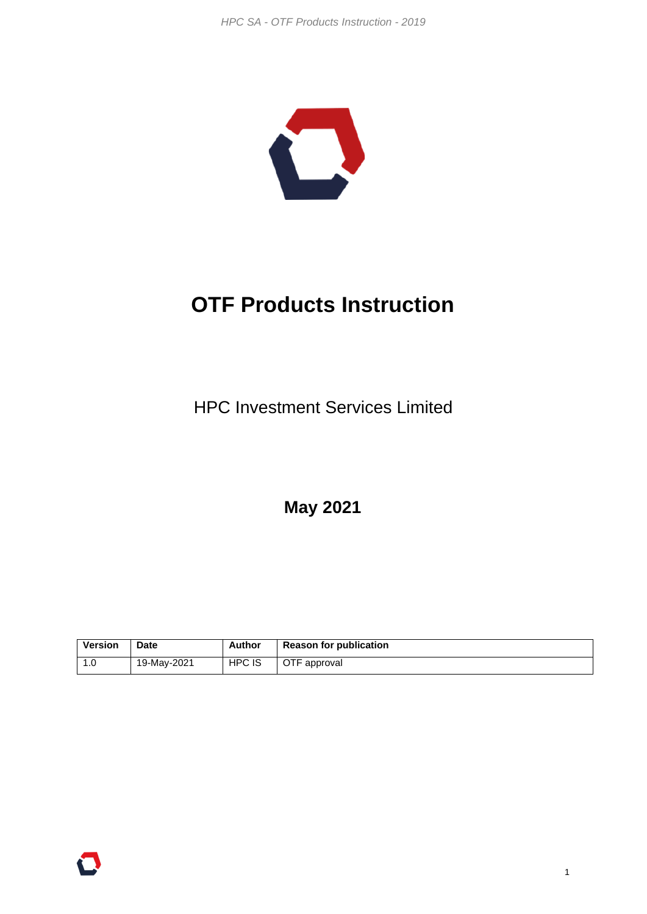

# **OTF Products Instruction**

HPC Investment Services Limited

**May 2021**

| Version | <b>Date</b> | Author | <b>Reason for publication</b> |
|---------|-------------|--------|-------------------------------|
|         | 19-May-2021 | HPC IS | OTF approval                  |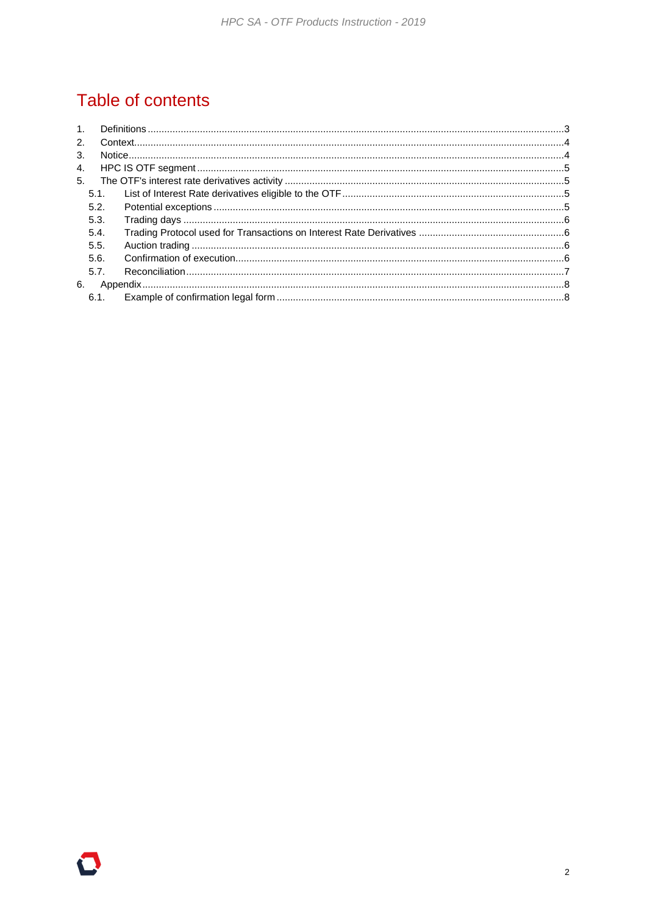# Table of contents

| 1 <sub>1</sub> |      |  |
|----------------|------|--|
| 2.             |      |  |
| 3.             |      |  |
| 4.             |      |  |
| 5.             |      |  |
|                | 5.1. |  |
|                | 5.2. |  |
|                | 5.3. |  |
|                | 5.4. |  |
|                | 5.5. |  |
|                | 5.6. |  |
|                | 5.7. |  |
| 6.             |      |  |
|                | 6.1. |  |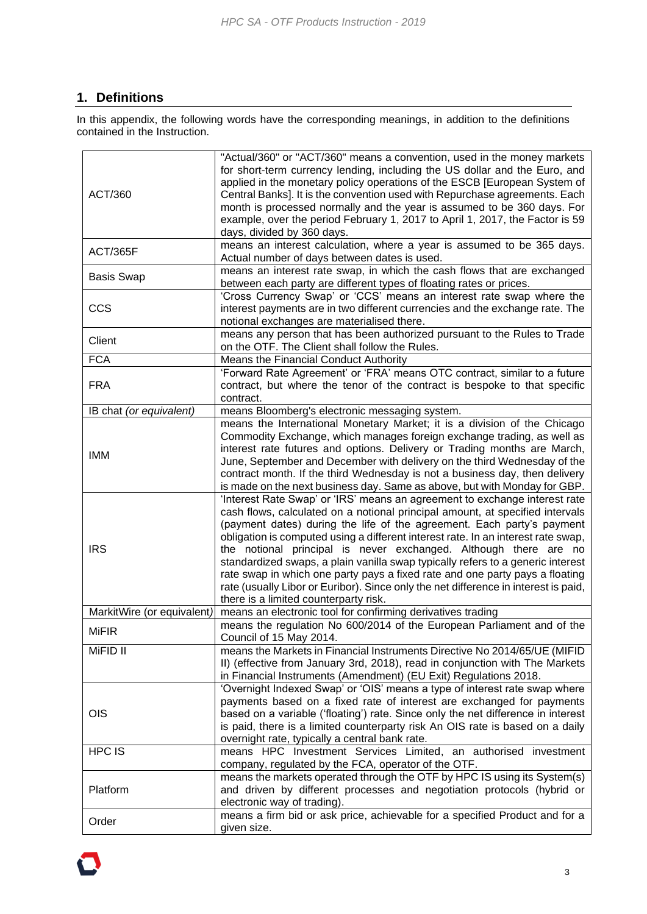# <span id="page-2-0"></span>**1. Definitions**

In this appendix, the following words have the corresponding meanings, in addition to the definitions contained in the Instruction.

|                            | "Actual/360" or "ACT/360" means a convention, used in the money markets             |
|----------------------------|-------------------------------------------------------------------------------------|
|                            | for short-term currency lending, including the US dollar and the Euro, and          |
|                            | applied in the monetary policy operations of the ESCB [European System of           |
| ACT/360                    |                                                                                     |
|                            | Central Banks]. It is the convention used with Repurchase agreements. Each          |
|                            | month is processed normally and the year is assumed to be 360 days. For             |
|                            | example, over the period February 1, 2017 to April 1, 2017, the Factor is 59        |
|                            | days, divided by 360 days.                                                          |
| ACT/365F                   | means an interest calculation, where a year is assumed to be 365 days.              |
|                            | Actual number of days between dates is used.                                        |
|                            | means an interest rate swap, in which the cash flows that are exchanged             |
| <b>Basis Swap</b>          | between each party are different types of floating rates or prices.                 |
|                            | 'Cross Currency Swap' or 'CCS' means an interest rate swap where the                |
| <b>CCS</b>                 | interest payments are in two different currencies and the exchange rate. The        |
|                            |                                                                                     |
|                            | notional exchanges are materialised there.                                          |
| Client                     | means any person that has been authorized pursuant to the Rules to Trade            |
|                            | on the OTF. The Client shall follow the Rules.                                      |
| <b>FCA</b>                 | Means the Financial Conduct Authority                                               |
|                            | 'Forward Rate Agreement' or 'FRA' means OTC contract, similar to a future           |
| <b>FRA</b>                 | contract, but where the tenor of the contract is bespoke to that specific           |
|                            | contract.                                                                           |
| IB chat (or equivalent)    | means Bloomberg's electronic messaging system.                                      |
|                            | means the International Monetary Market; it is a division of the Chicago            |
|                            | Commodity Exchange, which manages foreign exchange trading, as well as              |
|                            |                                                                                     |
| <b>IMM</b>                 | interest rate futures and options. Delivery or Trading months are March,            |
|                            | June, September and December with delivery on the third Wednesday of the            |
|                            | contract month. If the third Wednesday is not a business day, then delivery         |
|                            | is made on the next business day. Same as above, but with Monday for GBP.           |
|                            | 'Interest Rate Swap' or 'IRS' means an agreement to exchange interest rate          |
|                            | cash flows, calculated on a notional principal amount, at specified intervals       |
|                            | (payment dates) during the life of the agreement. Each party's payment              |
|                            | obligation is computed using a different interest rate. In an interest rate swap,   |
| <b>IRS</b>                 | the notional principal is never exchanged. Although there are no                    |
|                            | standardized swaps, a plain vanilla swap typically refers to a generic interest     |
|                            |                                                                                     |
|                            | rate swap in which one party pays a fixed rate and one party pays a floating        |
|                            | rate (usually Libor or Euribor). Since only the net difference in interest is paid, |
|                            | there is a limited counterparty risk.                                               |
| MarkitWire (or equivalent) | means an electronic tool for confirming derivatives trading                         |
|                            | means the regulation No 600/2014 of the European Parliament and of the              |
| <b>MiFIR</b>               | Council of 15 May 2014.                                                             |
| MiFID II                   | means the Markets in Financial Instruments Directive No 2014/65/UE (MIFID           |
|                            | II) (effective from January 3rd, 2018), read in conjunction with The Markets        |
|                            | in Financial Instruments (Amendment) (EU Exit) Regulations 2018.                    |
|                            | 'Overnight Indexed Swap' or 'OIS' means a type of interest rate swap where          |
|                            |                                                                                     |
|                            | payments based on a fixed rate of interest are exchanged for payments               |
| <b>OIS</b>                 | based on a variable ('floating') rate. Since only the net difference in interest    |
|                            | is paid, there is a limited counterparty risk An OIS rate is based on a daily       |
|                            | overnight rate, typically a central bank rate.                                      |
| HPC IS                     | means HPC Investment Services Limited, an authorised investment                     |
|                            | company, regulated by the FCA, operator of the OTF.                                 |
|                            | means the markets operated through the OTF by HPC IS using its System(s)            |
| Platform                   | and driven by different processes and negotiation protocols (hybrid or              |
|                            | electronic way of trading).                                                         |
|                            | means a firm bid or ask price, achievable for a specified Product and for a         |
| Order                      |                                                                                     |
|                            | given size.                                                                         |

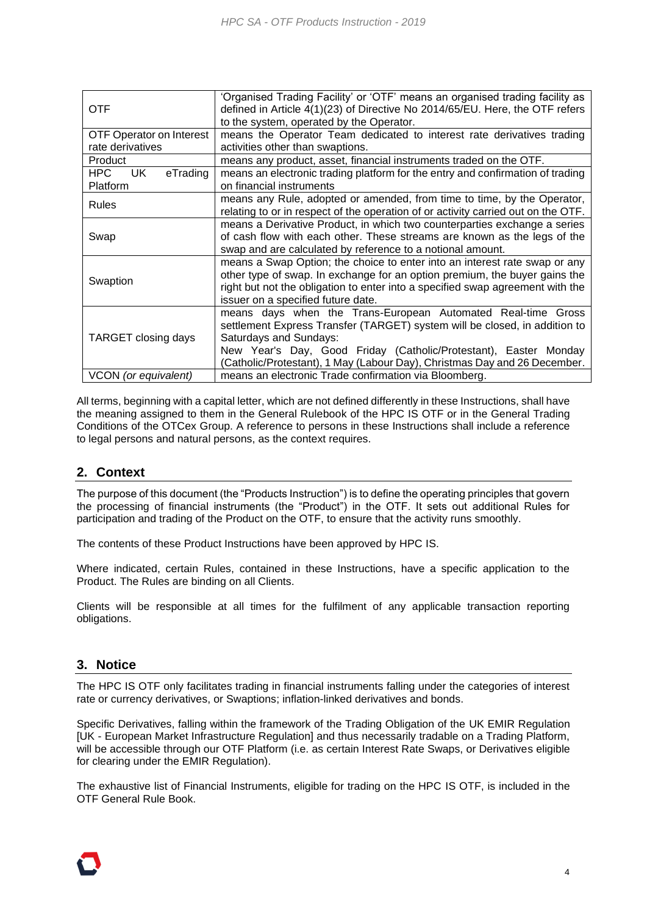| <b>OTF</b>                         | 'Organised Trading Facility' or 'OTF' means an organised trading facility as<br>defined in Article 4(1)(23) of Directive No 2014/65/EU. Here, the OTF refers                                                                                                                                                          |
|------------------------------------|-----------------------------------------------------------------------------------------------------------------------------------------------------------------------------------------------------------------------------------------------------------------------------------------------------------------------|
|                                    | to the system, operated by the Operator.                                                                                                                                                                                                                                                                              |
| <b>OTF Operator on Interest</b>    | means the Operator Team dedicated to interest rate derivatives trading                                                                                                                                                                                                                                                |
| rate derivatives                   | activities other than swaptions.                                                                                                                                                                                                                                                                                      |
| Product                            | means any product, asset, financial instruments traded on the OTF.                                                                                                                                                                                                                                                    |
| HPC<br>eTrading<br>UK.<br>Platform | means an electronic trading platform for the entry and confirmation of trading<br>on financial instruments                                                                                                                                                                                                            |
| <b>Rules</b>                       | means any Rule, adopted or amended, from time to time, by the Operator,<br>relating to or in respect of the operation of or activity carried out on the OTF.                                                                                                                                                          |
| Swap                               | means a Derivative Product, in which two counterparties exchange a series<br>of cash flow with each other. These streams are known as the legs of the<br>swap and are calculated by reference to a notional amount.                                                                                                   |
| Swaption                           | means a Swap Option; the choice to enter into an interest rate swap or any<br>other type of swap. In exchange for an option premium, the buyer gains the<br>right but not the obligation to enter into a specified swap agreement with the<br>issuer on a specified future date.                                      |
| TARGET closing days                | means days when the Trans-European Automated Real-time Gross<br>settlement Express Transfer (TARGET) system will be closed, in addition to<br>Saturdays and Sundays:<br>New Year's Day, Good Friday (Catholic/Protestant), Easter Monday<br>(Catholic/Protestant), 1 May (Labour Day), Christmas Day and 26 December. |
| VCON (or equivalent)               | means an electronic Trade confirmation via Bloomberg.                                                                                                                                                                                                                                                                 |

All terms, beginning with a capital letter, which are not defined differently in these Instructions, shall have the meaning assigned to them in the General Rulebook of the HPC IS OTF or in the General Trading Conditions of the OTCex Group. A reference to persons in these Instructions shall include a reference to legal persons and natural persons, as the context requires.

### <span id="page-3-0"></span>**2. Context**

The purpose of this document (the "Products Instruction") is to define the operating principles that govern the processing of financial instruments (the "Product") in the OTF. It sets out additional Rules for participation and trading of the Product on the OTF, to ensure that the activity runs smoothly.

The contents of these Product Instructions have been approved by HPC IS.

Where indicated, certain Rules, contained in these Instructions, have a specific application to the Product. The Rules are binding on all Clients.

Clients will be responsible at all times for the fulfilment of any applicable transaction reporting obligations.

#### <span id="page-3-1"></span>**3. Notice**

The HPC IS OTF only facilitates trading in financial instruments falling under the categories of interest rate or currency derivatives, or Swaptions; inflation-linked derivatives and bonds.

Specific Derivatives, falling within the framework of the Trading Obligation of the UK EMIR Regulation [UK - European Market Infrastructure Regulation] and thus necessarily tradable on a Trading Platform, will be accessible through our OTF Platform (i.e. as certain Interest Rate Swaps, or Derivatives eligible for clearing under the EMIR Regulation).

The exhaustive list of Financial Instruments, eligible for trading on the HPC IS OTF, is included in the OTF General Rule Book.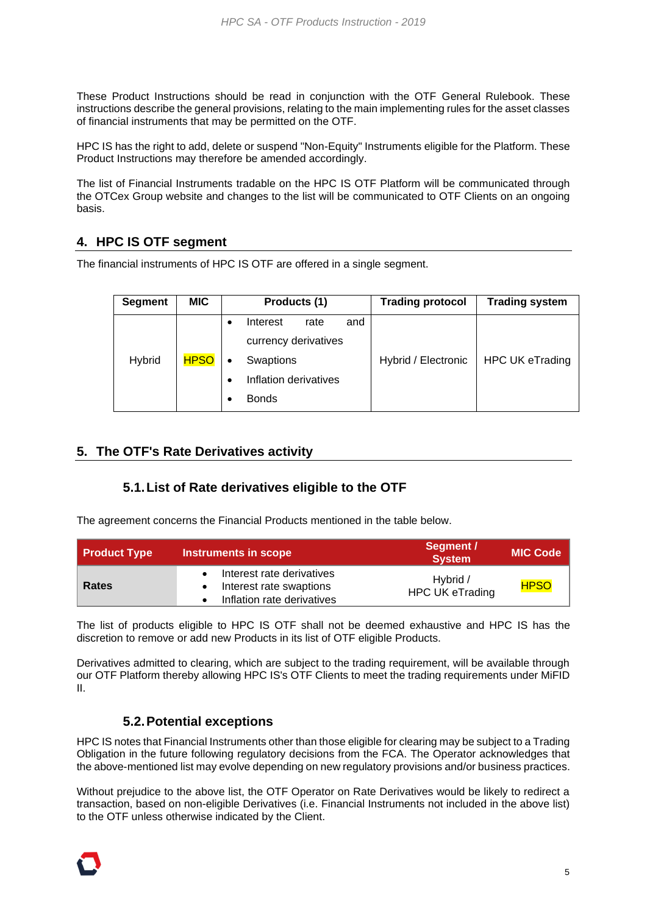These Product Instructions should be read in conjunction with the OTF General Rulebook. These instructions describe the general provisions, relating to the main implementing rules for the asset classes of financial instruments that may be permitted on the OTF.

HPC IS has the right to add, delete or suspend "Non-Equity" Instruments eligible for the Platform. These Product Instructions may therefore be amended accordingly.

The list of Financial Instruments tradable on the HPC IS OTF Platform will be communicated through the OTCex Group website and changes to the list will be communicated to OTF Clients on an ongoing basis.

### <span id="page-4-0"></span>**4. HPC IS OTF segment**

The financial instruments of HPC IS OTF are offered in a single segment.

| <b>Segment</b> | <b>MIC</b>  | Products (1)            | <b>Trading protocol</b> | <b>Trading system</b>  |
|----------------|-------------|-------------------------|-------------------------|------------------------|
|                |             | Interest<br>and<br>rate |                         |                        |
|                |             | currency derivatives    |                         |                        |
| Hybrid         | <b>HPSO</b> | Swaptions               | Hybrid / Electronic     | <b>HPC UK eTrading</b> |
|                |             | Inflation derivatives   |                         |                        |
|                |             | <b>Bonds</b>            |                         |                        |

#### <span id="page-4-2"></span><span id="page-4-1"></span>**5. The OTF's Rate Derivatives activity**

#### **5.1.List of Rate derivatives eligible to the OTF**

The agreement concerns the Financial Products mentioned in the table below.

| Product Type | Instruments in scope                                                               | Segment /<br><b>System</b>         | <b>MIC Code</b> |
|--------------|------------------------------------------------------------------------------------|------------------------------------|-----------------|
| Rates        | Interest rate derivatives<br>Interest rate swaptions<br>Inflation rate derivatives | Hybrid /<br><b>HPC UK eTrading</b> | <b>HPSO</b>     |

The list of products eligible to HPC IS OTF shall not be deemed exhaustive and HPC IS has the discretion to remove or add new Products in its list of OTF eligible Products.

<span id="page-4-3"></span>Derivatives admitted to clearing, which are subject to the trading requirement, will be available through our OTF Platform thereby allowing HPC IS's OTF Clients to meet the trading requirements under MiFID II.

### **5.2.Potential exceptions**

HPC IS notes that Financial Instruments other than those eligible for clearing may be subject to a Trading Obligation in the future following regulatory decisions from the FCA. The Operator acknowledges that the above-mentioned list may evolve depending on new regulatory provisions and/or business practices.

Without prejudice to the above list, the OTF Operator on Rate Derivatives would be likely to redirect a transaction, based on non-eligible Derivatives (i.e. Financial Instruments not included in the above list) to the OTF unless otherwise indicated by the Client.

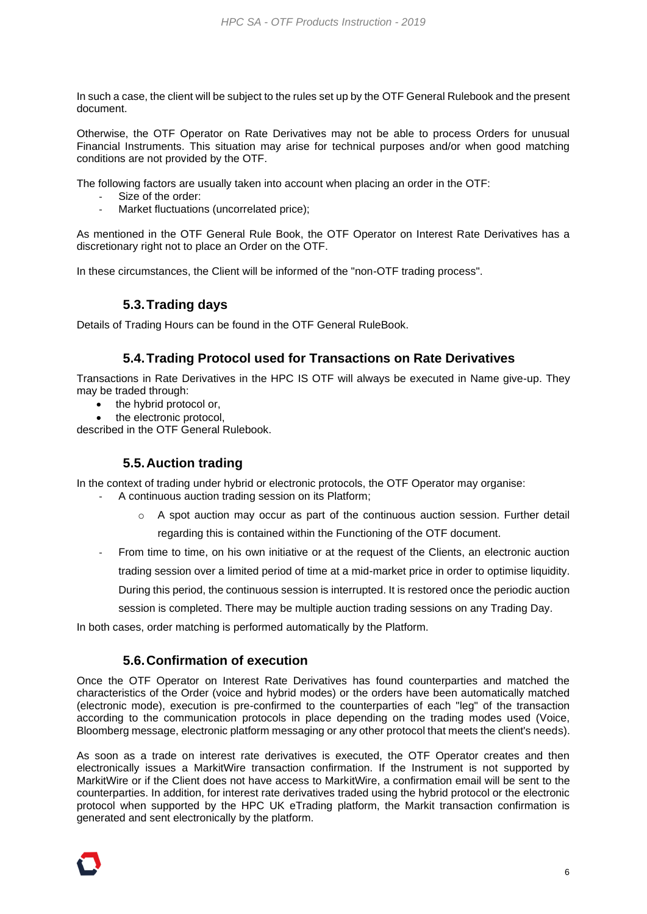In such a case, the client will be subject to the rules set up by the OTF General Rulebook and the present document.

Otherwise, the OTF Operator on Rate Derivatives may not be able to process Orders for unusual Financial Instruments. This situation may arise for technical purposes and/or when good matching conditions are not provided by the OTF.

The following factors are usually taken into account when placing an order in the OTF:

- Size of the order:
- Market fluctuations (uncorrelated price);

As mentioned in the OTF General Rule Book, the OTF Operator on Interest Rate Derivatives has a discretionary right not to place an Order on the OTF.

<span id="page-5-0"></span>In these circumstances, the Client will be informed of the "non-OTF trading process".

# **5.3.Trading days**

<span id="page-5-1"></span>Details of Trading Hours can be found in the OTF General RuleBook.

#### **5.4.Trading Protocol used for Transactions on Rate Derivatives**

Transactions in Rate Derivatives in the HPC IS OTF will always be executed in Name give-up. They may be traded through:

- the hybrid protocol or,
- the electronic protocol,

<span id="page-5-2"></span>described in the OTF General Rulebook.

#### **5.5.Auction trading**

In the context of trading under hybrid or electronic protocols, the OTF Operator may organise:

- A continuous auction trading session on its Platform;
	- $\circ$  A spot auction may occur as part of the continuous auction session. Further detail regarding this is contained within the Functioning of the OTF document.
- From time to time, on his own initiative or at the request of the Clients, an electronic auction

trading session over a limited period of time at a mid-market price in order to optimise liquidity.

During this period, the continuous session is interrupted. It is restored once the periodic auction

session is completed. There may be multiple auction trading sessions on any Trading Day.

<span id="page-5-3"></span>In both cases, order matching is performed automatically by the Platform.

#### **5.6.Confirmation of execution**

Once the OTF Operator on Interest Rate Derivatives has found counterparties and matched the characteristics of the Order (voice and hybrid modes) or the orders have been automatically matched (electronic mode), execution is pre-confirmed to the counterparties of each "leg" of the transaction according to the communication protocols in place depending on the trading modes used (Voice, Bloomberg message, electronic platform messaging or any other protocol that meets the client's needs).

As soon as a trade on interest rate derivatives is executed, the OTF Operator creates and then electronically issues a MarkitWire transaction confirmation. If the Instrument is not supported by MarkitWire or if the Client does not have access to MarkitWire, a confirmation email will be sent to the counterparties. In addition, for interest rate derivatives traded using the hybrid protocol or the electronic protocol when supported by the HPC UK eTrading platform, the Markit transaction confirmation is generated and sent electronically by the platform.

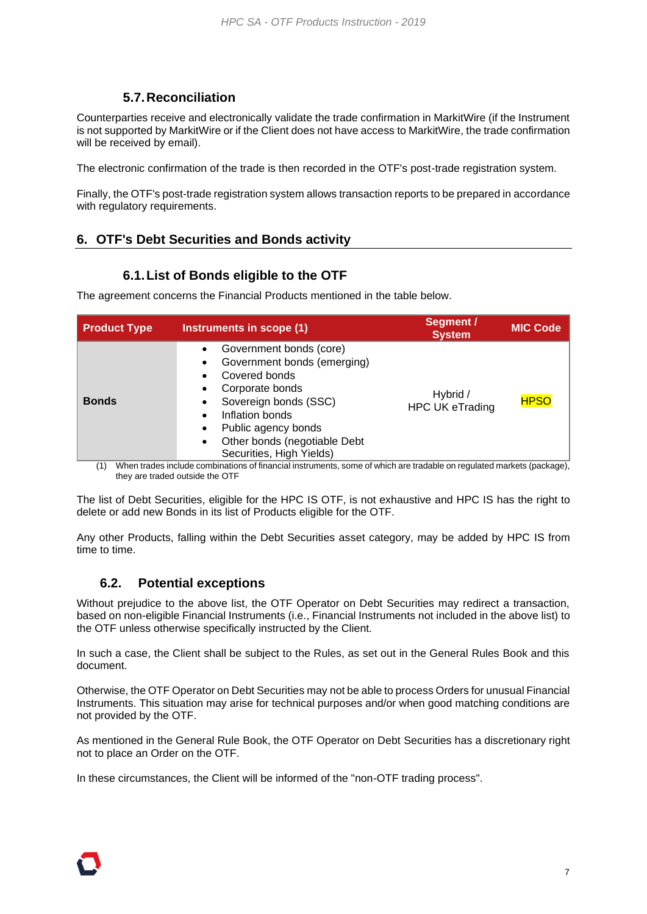### **5.7.Reconciliation**

<span id="page-6-0"></span>Counterparties receive and electronically validate the trade confirmation in MarkitWire (if the Instrument is not supported by MarkitWire or if the Client does not have access to MarkitWire, the trade confirmation will be received by email).

The electronic confirmation of the trade is then recorded in the OTF's post-trade registration system.

Finally, the OTF's post-trade registration system allows transaction reports to be prepared in accordance with regulatory requirements.

# **6. OTF's Debt Securities and Bonds activity**

### **6.1.List of Bonds eligible to the OTF**

The agreement concerns the Financial Products mentioned in the table below.

| <b>Product Type</b> | Instruments in scope (1)                                                                                                                                                                                                                                                   | Segment /<br><b>System</b>         | <b>MIC Code</b> |
|---------------------|----------------------------------------------------------------------------------------------------------------------------------------------------------------------------------------------------------------------------------------------------------------------------|------------------------------------|-----------------|
| <b>Bonds</b>        | Government bonds (core)<br>Government bonds (emerging)<br>$\bullet$<br>Covered bonds<br>Corporate bonds<br>Sovereign bonds (SSC)<br>٠<br>Inflation bonds<br>$\bullet$<br>Public agency bonds<br>٠<br>Other bonds (negotiable Debt<br>$\bullet$<br>Securities, High Yields) | Hybrid /<br><b>HPC UK eTrading</b> | <b>HPSO</b>     |

(1) When trades include combinations of financial instruments, some of which are tradable on regulated markets (package), they are traded outside the OTF

The list of Debt Securities, eligible for the HPC IS OTF, is not exhaustive and HPC IS has the right to delete or add new Bonds in its list of Products eligible for the OTF.

Any other Products, falling within the Debt Securities asset category, may be added by HPC IS from time to time.

### **6.2. Potential exceptions**

Without prejudice to the above list, the OTF Operator on Debt Securities may redirect a transaction, based on non-eligible Financial Instruments (i.e., Financial Instruments not included in the above list) to the OTF unless otherwise specifically instructed by the Client.

In such a case, the Client shall be subject to the Rules, as set out in the General Rules Book and this document.

Otherwise, the OTF Operator on Debt Securities may not be able to process Orders for unusual Financial Instruments. This situation may arise for technical purposes and/or when good matching conditions are not provided by the OTF.

As mentioned in the General Rule Book, the OTF Operator on Debt Securities has a discretionary right not to place an Order on the OTF.

In these circumstances, the Client will be informed of the "non-OTF trading process".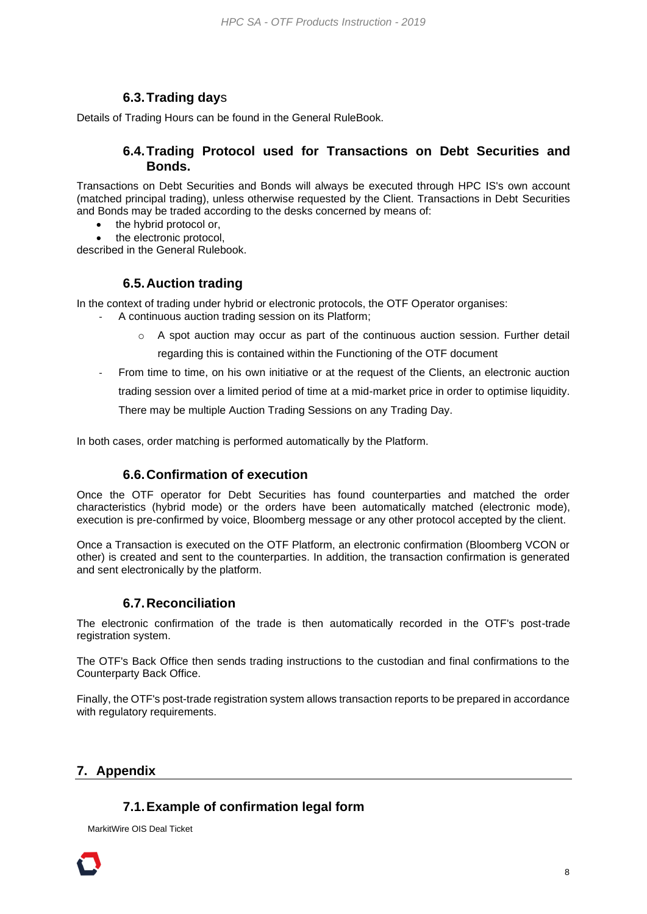# **6.3.Trading day**s

Details of Trading Hours can be found in the General RuleBook.

#### **6.4.Trading Protocol used for Transactions on Debt Securities and Bonds.**

Transactions on Debt Securities and Bonds will always be executed through HPC IS's own account (matched principal trading), unless otherwise requested by the Client. Transactions in Debt Securities and Bonds may be traded according to the desks concerned by means of:

- the hybrid protocol or,
- the electronic protocol.

described in the General Rulebook.

### **6.5.Auction trading**

In the context of trading under hybrid or electronic protocols, the OTF Operator organises:

- A continuous auction trading session on its Platform;
	- $\circ$  A spot auction may occur as part of the continuous auction session. Further detail

regarding this is contained within the Functioning of the OTF document

- From time to time, on his own initiative or at the request of the Clients, an electronic auction

trading session over a limited period of time at a mid-market price in order to optimise liquidity.

There may be multiple Auction Trading Sessions on any Trading Day.

In both cases, order matching is performed automatically by the Platform.

### **6.6.Confirmation of execution**

Once the OTF operator for Debt Securities has found counterparties and matched the order characteristics (hybrid mode) or the orders have been automatically matched (electronic mode), execution is pre-confirmed by voice, Bloomberg message or any other protocol accepted by the client.

Once a Transaction is executed on the OTF Platform, an electronic confirmation (Bloomberg VCON or other) is created and sent to the counterparties. In addition, the transaction confirmation is generated and sent electronically by the platform.

### **6.7.Reconciliation**

The electronic confirmation of the trade is then automatically recorded in the OTF's post-trade registration system.

The OTF's Back Office then sends trading instructions to the custodian and final confirmations to the Counterparty Back Office.

Finally, the OTF's post-trade registration system allows transaction reports to be prepared in accordance with regulatory requirements.

### <span id="page-7-1"></span><span id="page-7-0"></span>**7. Appendix**

### **7.1.Example of confirmation legal form**

MarkitWire OIS Deal Ticket

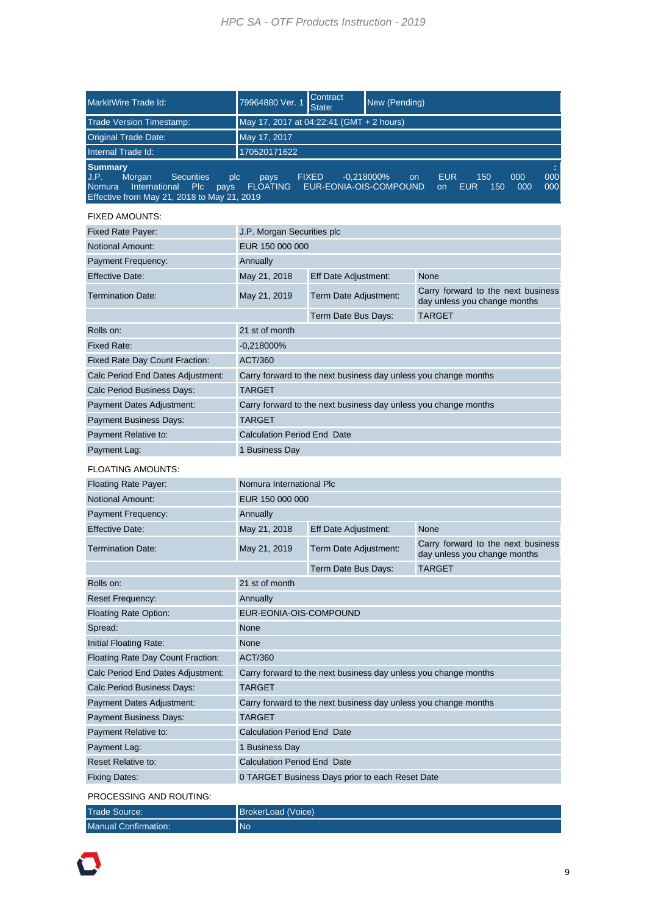| MarkitWire Trade Id:                                                                                                                                                                                                                                                                                                                        | 79964880 Ver. 1                                                 | Contract<br>State:                                              | New (Pending) |                                                                    |
|---------------------------------------------------------------------------------------------------------------------------------------------------------------------------------------------------------------------------------------------------------------------------------------------------------------------------------------------|-----------------------------------------------------------------|-----------------------------------------------------------------|---------------|--------------------------------------------------------------------|
| <b>Trade Version Timestamp:</b>                                                                                                                                                                                                                                                                                                             | May 17, 2017 at 04:22:41 (GMT + 2 hours)                        |                                                                 |               |                                                                    |
| <b>Original Trade Date:</b>                                                                                                                                                                                                                                                                                                                 | May 17, 2017                                                    |                                                                 |               |                                                                    |
| Internal Trade Id:                                                                                                                                                                                                                                                                                                                          | 170520171622                                                    |                                                                 |               |                                                                    |
| <b>Summary</b><br>000<br>J.P.<br>Morgan<br><b>Securities</b><br><b>FIXED</b><br>$-0.218000\%$<br><b>EUR</b><br>150<br>000<br>plc<br>pays<br>on<br>International<br><b>FLOATING</b><br>EUR-EONIA-OIS-COMPOUND<br>000<br><b>Nomura</b><br><b>PIC</b><br><b>EUR</b><br>150<br>000<br>pays<br>on<br>Effective from May 21, 2018 to May 21, 2019 |                                                                 |                                                                 |               |                                                                    |
| <b>FIXED AMOUNTS:</b>                                                                                                                                                                                                                                                                                                                       |                                                                 |                                                                 |               |                                                                    |
| <b>Fixed Rate Payer:</b>                                                                                                                                                                                                                                                                                                                    | J.P. Morgan Securities plc                                      |                                                                 |               |                                                                    |
| <b>Notional Amount:</b>                                                                                                                                                                                                                                                                                                                     | EUR 150 000 000                                                 |                                                                 |               |                                                                    |
| <b>Payment Frequency:</b>                                                                                                                                                                                                                                                                                                                   | Annually                                                        |                                                                 |               |                                                                    |
| <b>Effective Date:</b>                                                                                                                                                                                                                                                                                                                      | May 21, 2018                                                    | Eff Date Adjustment:                                            |               | None                                                               |
| <b>Termination Date:</b>                                                                                                                                                                                                                                                                                                                    | May 21, 2019                                                    | Term Date Adjustment:                                           |               | Carry forward to the next business<br>day unless you change months |
|                                                                                                                                                                                                                                                                                                                                             |                                                                 | Term Date Bus Days:                                             |               | <b>TARGET</b>                                                      |
| Rolls on:                                                                                                                                                                                                                                                                                                                                   | 21 st of month                                                  |                                                                 |               |                                                                    |
| Fixed Rate:                                                                                                                                                                                                                                                                                                                                 | $-0,218000%$                                                    |                                                                 |               |                                                                    |
| Fixed Rate Day Count Fraction:                                                                                                                                                                                                                                                                                                              | ACT/360                                                         |                                                                 |               |                                                                    |
| Calc Period End Dates Adjustment:                                                                                                                                                                                                                                                                                                           |                                                                 |                                                                 |               | Carry forward to the next business day unless you change months    |
| Calc Period Business Days:                                                                                                                                                                                                                                                                                                                  | <b>TARGET</b>                                                   |                                                                 |               |                                                                    |
| Payment Dates Adjustment:                                                                                                                                                                                                                                                                                                                   | Carry forward to the next business day unless you change months |                                                                 |               |                                                                    |
| <b>Payment Business Days:</b>                                                                                                                                                                                                                                                                                                               | <b>TARGET</b>                                                   |                                                                 |               |                                                                    |
| Payment Relative to:                                                                                                                                                                                                                                                                                                                        | <b>Calculation Period End Date</b>                              |                                                                 |               |                                                                    |
| Payment Lag:                                                                                                                                                                                                                                                                                                                                | 1 Business Day                                                  |                                                                 |               |                                                                    |
| <b>FLOATING AMOUNTS:</b>                                                                                                                                                                                                                                                                                                                    |                                                                 |                                                                 |               |                                                                    |
| <b>Floating Rate Payer:</b>                                                                                                                                                                                                                                                                                                                 | Nomura International PIc                                        |                                                                 |               |                                                                    |
| <b>Notional Amount:</b>                                                                                                                                                                                                                                                                                                                     | EUR 150 000 000                                                 |                                                                 |               |                                                                    |
| <b>Payment Frequency:</b>                                                                                                                                                                                                                                                                                                                   | Annually                                                        |                                                                 |               |                                                                    |
| <b>Effective Date:</b>                                                                                                                                                                                                                                                                                                                      | May 21, 2018                                                    | Eff Date Adjustment:                                            |               | None                                                               |
| <b>Termination Date:</b>                                                                                                                                                                                                                                                                                                                    | May 21, 2019                                                    | Term Date Adjustment:                                           |               | Carry forward to the next business<br>day unless you change months |
|                                                                                                                                                                                                                                                                                                                                             |                                                                 | Term Date Bus Days:                                             |               | <b>TARGET</b>                                                      |
| Rolls on:                                                                                                                                                                                                                                                                                                                                   | 21 st of month                                                  |                                                                 |               |                                                                    |
| <b>Reset Frequency:</b>                                                                                                                                                                                                                                                                                                                     | Annually                                                        |                                                                 |               |                                                                    |
| <b>Floating Rate Option:</b>                                                                                                                                                                                                                                                                                                                | EUR-EONIA-OIS-COMPOUND                                          |                                                                 |               |                                                                    |
| Spread:                                                                                                                                                                                                                                                                                                                                     | None                                                            |                                                                 |               |                                                                    |
| <b>Initial Floating Rate:</b>                                                                                                                                                                                                                                                                                                               | None                                                            |                                                                 |               |                                                                    |
| Floating Rate Day Count Fraction:                                                                                                                                                                                                                                                                                                           | ACT/360                                                         |                                                                 |               |                                                                    |
| Calc Period End Dates Adjustment:                                                                                                                                                                                                                                                                                                           | Carry forward to the next business day unless you change months |                                                                 |               |                                                                    |
| Calc Period Business Days:                                                                                                                                                                                                                                                                                                                  | <b>TARGET</b>                                                   |                                                                 |               |                                                                    |
| Payment Dates Adjustment:                                                                                                                                                                                                                                                                                                                   |                                                                 | Carry forward to the next business day unless you change months |               |                                                                    |
| <b>TARGET</b><br><b>Payment Business Days:</b>                                                                                                                                                                                                                                                                                              |                                                                 |                                                                 |               |                                                                    |
| Payment Relative to:                                                                                                                                                                                                                                                                                                                        | <b>Calculation Period End Date</b>                              |                                                                 |               |                                                                    |
| Payment Lag:                                                                                                                                                                                                                                                                                                                                | 1 Business Day                                                  |                                                                 |               |                                                                    |
| <b>Reset Relative to:</b>                                                                                                                                                                                                                                                                                                                   | <b>Calculation Period End Date</b>                              |                                                                 |               |                                                                    |
| <b>Fixing Dates:</b>                                                                                                                                                                                                                                                                                                                        | 0 TARGET Business Days prior to each Reset Date                 |                                                                 |               |                                                                    |
| PROCESSING AND ROUTING:                                                                                                                                                                                                                                                                                                                     |                                                                 |                                                                 |               |                                                                    |

| <b>Trade Source:</b>        | BrokerLoad (Voice) |
|-----------------------------|--------------------|
| <b>Manual Confirmation:</b> | <b>No</b>          |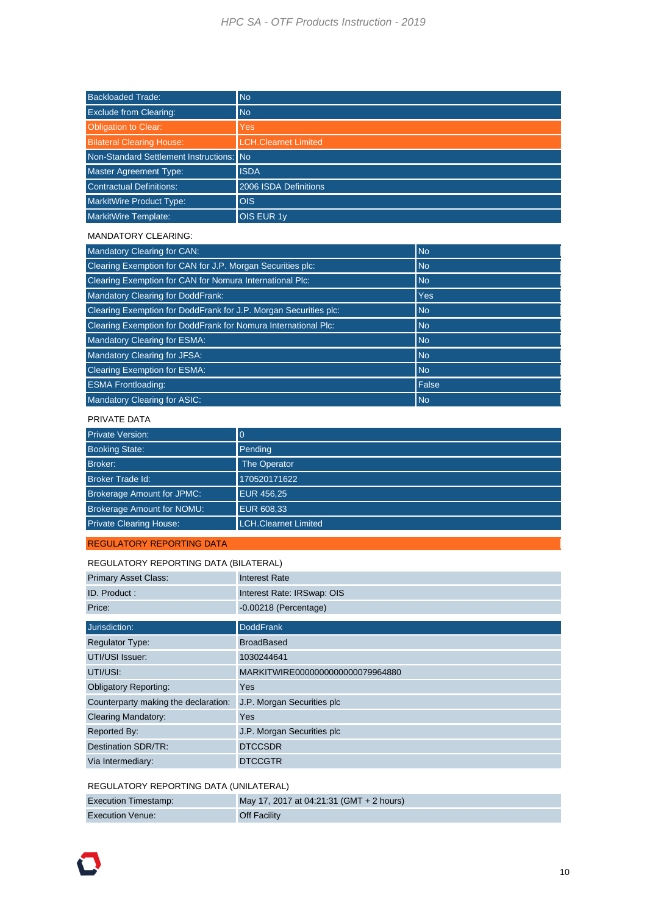#### *HPC SA - OTF Products Instruction - 2019*

| <b>Backloaded Trade:</b>                 | <b>No</b>                   |
|------------------------------------------|-----------------------------|
| <b>Exclude from Clearing:</b>            | <b>No</b>                   |
| <b>Obligation to Clear:</b>              | <b>Yes</b>                  |
| <b>Bilateral Clearing House:</b>         | <b>LCH.Clearnet Limited</b> |
| Non-Standard Settlement Instructions: No |                             |
| <b>Master Agreement Type:</b>            | <b>ISDA</b>                 |
| Contractual Definitions:                 | 2006 ISDA Definitions       |
| MarkitWire Product Type:                 | <b>OIS</b>                  |
| <b>MarkitWire Template:</b>              | <b>OIS EUR 1y</b>           |

#### MANDATORY CLEARING:

| <b>Mandatory Clearing for CAN:</b>                               | <b>No</b>  |
|------------------------------------------------------------------|------------|
| Clearing Exemption for CAN for J.P. Morgan Securities plc:       | <b>No</b>  |
| Clearing Exemption for CAN for Nomura International Plc:         | <b>No</b>  |
| Mandatory Clearing for DoddFrank:                                | <b>Yes</b> |
| Clearing Exemption for DoddFrank for J.P. Morgan Securities plc: | <b>No</b>  |
| Clearing Exemption for DoddFrank for Nomura International Plc:   | <b>No</b>  |
| <b>Mandatory Clearing for ESMA:</b>                              | <b>No</b>  |
| Mandatory Clearing for JFSA:                                     | <b>No</b>  |
| <b>Clearing Exemption for ESMA:</b>                              | <b>No</b>  |
| <b>ESMA Frontloading:</b>                                        | False      |
| Mandatory Clearing for ASIC:                                     | <b>No</b>  |

#### PRIVATE DATA

| <b>Private Version:</b>           | $\overline{0}$              |
|-----------------------------------|-----------------------------|
| <b>Booking State:</b>             | Pending                     |
| Broker:                           | <b>The Operator</b>         |
| <b>Broker Trade Id:</b>           | 170520171622                |
| <b>Brokerage Amount for JPMC:</b> | <b>EUR 456,25</b>           |
| <b>Brokerage Amount for NOMU:</b> | EUR 608,33                  |
| <b>Private Clearing House:</b>    | <b>LCH.Clearnet Limited</b> |

#### REGULATORY REPORTING DATA

| REGULATORY REPORTING DATA (BILATERAL) |                                  |  |
|---------------------------------------|----------------------------------|--|
| <b>Primary Asset Class:</b>           | <b>Interest Rate</b>             |  |
| ID. Product:                          | Interest Rate: IRSwap: OIS       |  |
| Price:                                | $-0.00218$ (Percentage)          |  |
|                                       |                                  |  |
| Jurisdiction:                         | <b>DoddFrank</b>                 |  |
| <b>Regulator Type:</b>                | <b>BroadBased</b>                |  |
| UTI/USI Issuer:                       | 1030244641                       |  |
| UTI/USI:                              | MARKITWIRE0000000000000079964880 |  |
| <b>Obligatory Reporting:</b>          | Yes                              |  |
| Counterparty making the declaration:  | J.P. Morgan Securities plc       |  |
| <b>Clearing Mandatory:</b>            | Yes                              |  |
| Reported By:                          | J.P. Morgan Securities plc       |  |
| Destination SDR/TR:                   | <b>DTCCSDR</b>                   |  |
| Via Intermediary:                     | <b>DTCCGTR</b>                   |  |
|                                       |                                  |  |

#### REGULATORY REPORTING DATA (UNILATERAL)

| <b>Execution Timestamp:</b> | May 17, 2017 at 04:21:31 (GMT + 2 hours) |
|-----------------------------|------------------------------------------|
| <b>Execution Venue:</b>     | <b>Off Facility</b>                      |